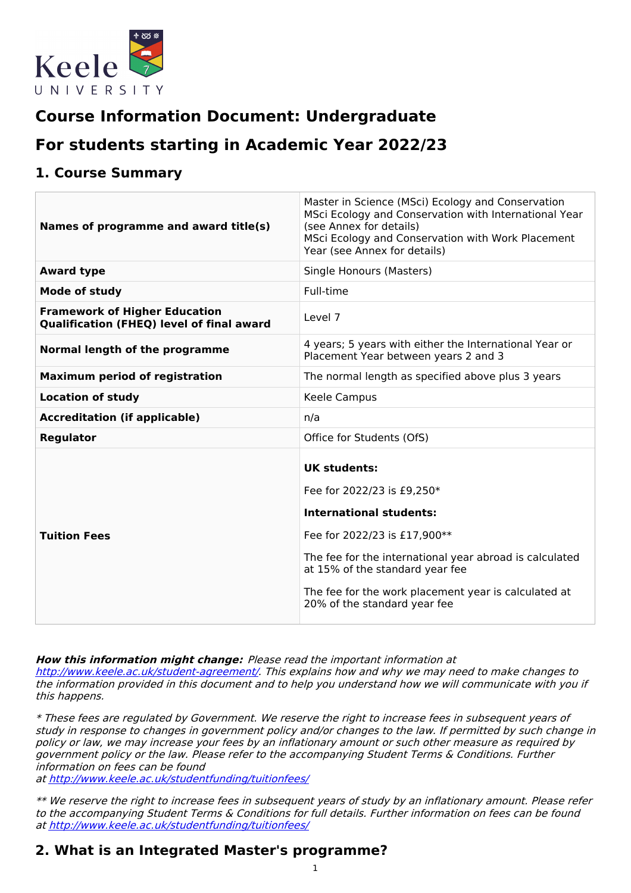

# **Course Information Document: Undergraduate**

# **For students starting in Academic Year 2022/23**

## **1. Course Summary**

| Names of programme and award title(s)                                                    | Master in Science (MSci) Ecology and Conservation<br>MSci Ecology and Conservation with International Year<br>(see Annex for details)<br>MSci Ecology and Conservation with Work Placement<br>Year (see Annex for details)                                                                                |
|------------------------------------------------------------------------------------------|-----------------------------------------------------------------------------------------------------------------------------------------------------------------------------------------------------------------------------------------------------------------------------------------------------------|
| <b>Award type</b>                                                                        | Single Honours (Masters)                                                                                                                                                                                                                                                                                  |
| Mode of study                                                                            | Full-time                                                                                                                                                                                                                                                                                                 |
| <b>Framework of Higher Education</b><br><b>Qualification (FHEQ) level of final award</b> | Level 7                                                                                                                                                                                                                                                                                                   |
| Normal length of the programme                                                           | 4 years; 5 years with either the International Year or<br>Placement Year between years 2 and 3                                                                                                                                                                                                            |
| <b>Maximum period of registration</b>                                                    | The normal length as specified above plus 3 years                                                                                                                                                                                                                                                         |
| <b>Location of study</b>                                                                 | Keele Campus                                                                                                                                                                                                                                                                                              |
| <b>Accreditation (if applicable)</b>                                                     | n/a                                                                                                                                                                                                                                                                                                       |
| Regulator                                                                                | Office for Students (OfS)                                                                                                                                                                                                                                                                                 |
| <b>Tuition Fees</b>                                                                      | <b>UK students:</b><br>Fee for 2022/23 is £9,250*<br><b>International students:</b><br>Fee for 2022/23 is £17,900**<br>The fee for the international year abroad is calculated<br>at 15% of the standard year fee<br>The fee for the work placement year is calculated at<br>20% of the standard year fee |

**How this information might change:** Please read the important information at

<http://www.keele.ac.uk/student-agreement/>. This explains how and why we may need to make changes to the information provided in this document and to help you understand how we will communicate with you if this happens.

\* These fees are regulated by Government. We reserve the right to increase fees in subsequent years of study in response to changes in government policy and/or changes to the law. If permitted by such change in policy or law, we may increase your fees by an inflationary amount or such other measure as required by government policy or the law. Please refer to the accompanying Student Terms & Conditions. Further information on fees can be found

at <http://www.keele.ac.uk/studentfunding/tuitionfees/>

\*\* We reserve the right to increase fees in subsequent years of study by an inflationary amount. Please refer to the accompanying Student Terms & Conditions for full details. Further information on fees can be found at <http://www.keele.ac.uk/studentfunding/tuitionfees/>

## **2. What is an Integrated Master's programme?**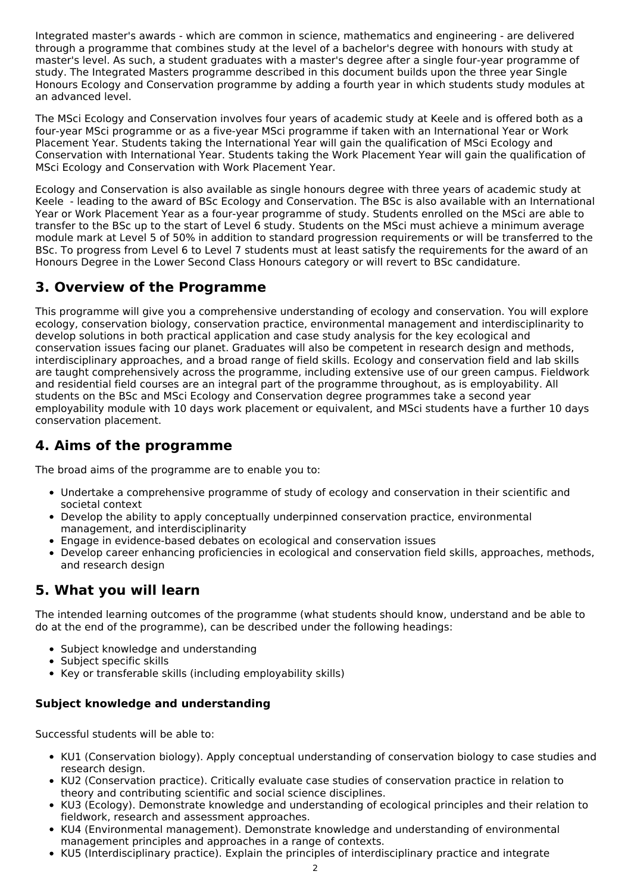Integrated master's awards - which are common in science, mathematics and engineering - are delivered through a programme that combines study at the level of a bachelor's degree with honours with study at master's level. As such, a student graduates with a master's degree after a single four-year programme of study. The Integrated Masters programme described in this document builds upon the three year Single Honours Ecology and Conservation programme by adding a fourth year in which students study modules at an advanced level.

The MSci Ecology and Conservation involves four years of academic study at Keele and is offered both as a four-year MSci programme or as a five-year MSci programme if taken with an International Year or Work Placement Year. Students taking the International Year will gain the qualification of MSci Ecology and Conservation with International Year. Students taking the Work Placement Year will gain the qualification of MSci Ecology and Conservation with Work Placement Year.

Ecology and Conservation is also available as single honours degree with three years of academic study at Keele - leading to the award of BSc Ecology and Conservation. The BSc is also available with an International Year or Work Placement Year as a four-year programme of study. Students enrolled on the MSci are able to transfer to the BSc up to the start of Level 6 study. Students on the MSci must achieve a minimum average module mark at Level 5 of 50% in addition to standard progression requirements or will be transferred to the BSc. To progress from Level 6 to Level 7 students must at least satisfy the requirements for the award of an Honours Degree in the Lower Second Class Honours category or will revert to BSc candidature.

## **3. Overview of the Programme**

This programme will give you a comprehensive understanding of ecology and conservation. You will explore ecology, conservation biology, conservation practice, environmental management and interdisciplinarity to develop solutions in both practical application and case study analysis for the key ecological and conservation issues facing our planet. Graduates will also be competent in research design and methods, interdisciplinary approaches, and a broad range of field skills. Ecology and conservation field and lab skills are taught comprehensively across the programme, including extensive use of our green campus. Fieldwork and residential field courses are an integral part of the programme throughout, as is employability. All students on the BSc and MSci Ecology and Conservation degree programmes take a second year employability module with 10 days work placement or equivalent, and MSci students have a further 10 days conservation placement.

## **4. Aims of the programme**

The broad aims of the programme are to enable you to:

- Undertake a comprehensive programme of study of ecology and conservation in their scientific and societal context
- Develop the ability to apply conceptually underpinned conservation practice, environmental management, and interdisciplinarity
- Engage in evidence-based debates on ecological and conservation issues
- Develop career enhancing proficiencies in ecological and conservation field skills, approaches, methods, and research design

## **5. What you will learn**

The intended learning outcomes of the programme (what students should know, understand and be able to do at the end of the programme), can be described under the following headings:

- Subject knowledge and understanding
- Subject specific skills
- Key or transferable skills (including employability skills)

## **Subject knowledge and understanding**

Successful students will be able to:

- KU1 (Conservation biology). Apply conceptual understanding of conservation biology to case studies and research design.
- KU2 (Conservation practice). Critically evaluate case studies of conservation practice in relation to theory and contributing scientific and social science disciplines.
- KU3 (Ecology). Demonstrate knowledge and understanding of ecological principles and their relation to fieldwork, research and assessment approaches.
- KU4 (Environmental management). Demonstrate knowledge and understanding of environmental management principles and approaches in a range of contexts.
- KU5 (Interdisciplinary practice). Explain the principles of interdisciplinary practice and integrate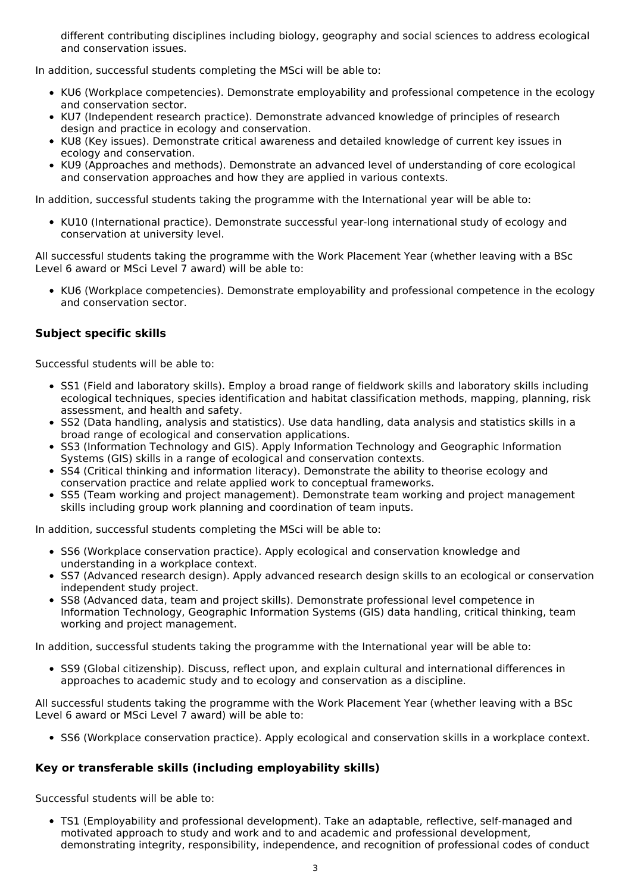different contributing disciplines including biology, geography and social sciences to address ecological and conservation issues.

In addition, successful students completing the MSci will be able to:

- KU6 (Workplace competencies). Demonstrate employability and professional competence in the ecology and conservation sector.
- KU7 (Independent research practice). Demonstrate advanced knowledge of principles of research design and practice in ecology and conservation.
- KU8 (Key issues). Demonstrate critical awareness and detailed knowledge of current key issues in ecology and conservation.
- KU9 (Approaches and methods). Demonstrate an advanced level of understanding of core ecological and conservation approaches and how they are applied in various contexts.

In addition, successful students taking the programme with the International year will be able to:

• KU10 (International practice). Demonstrate successful year-long international study of ecology and conservation at university level.

All successful students taking the programme with the Work Placement Year (whether leaving with a BSc Level 6 award or MSci Level 7 award) will be able to:

KU6 (Workplace competencies). Demonstrate employability and professional competence in the ecology and conservation sector.

### **Subject specific skills**

Successful students will be able to:

- SS1 (Field and laboratory skills). Employ a broad range of fieldwork skills and laboratory skills including ecological techniques, species identification and habitat classification methods, mapping, planning, risk assessment, and health and safety.
- SS2 (Data handling, analysis and statistics). Use data handling, data analysis and statistics skills in a broad range of ecological and conservation applications.
- SS3 (Information Technology and GIS). Apply Information Technology and Geographic Information Systems (GIS) skills in a range of ecological and conservation contexts.
- SS4 (Critical thinking and information literacy). Demonstrate the ability to theorise ecology and conservation practice and relate applied work to conceptual frameworks.
- SS5 (Team working and project management). Demonstrate team working and project management skills including group work planning and coordination of team inputs.

In addition, successful students completing the MSci will be able to:

- SS6 (Workplace conservation practice). Apply ecological and conservation knowledge and understanding in a workplace context.
- SS7 (Advanced research design). Apply advanced research design skills to an ecological or conservation independent study project.
- SS8 (Advanced data, team and project skills). Demonstrate professional level competence in Information Technology, Geographic Information Systems (GIS) data handling, critical thinking, team working and project management.

In addition, successful students taking the programme with the International year will be able to:

• SS9 (Global citizenship). Discuss, reflect upon, and explain cultural and international differences in approaches to academic study and to ecology and conservation as a discipline.

All successful students taking the programme with the Work Placement Year (whether leaving with a BSc Level 6 award or MSci Level 7 award) will be able to:

• SS6 (Workplace conservation practice). Apply ecological and conservation skills in a workplace context.

### **Key or transferable skills (including employability skills)**

Successful students will be able to:

TS1 (Employability and professional development). Take an adaptable, reflective, self-managed and motivated approach to study and work and to and academic and professional development, demonstrating integrity, responsibility, independence, and recognition of professional codes of conduct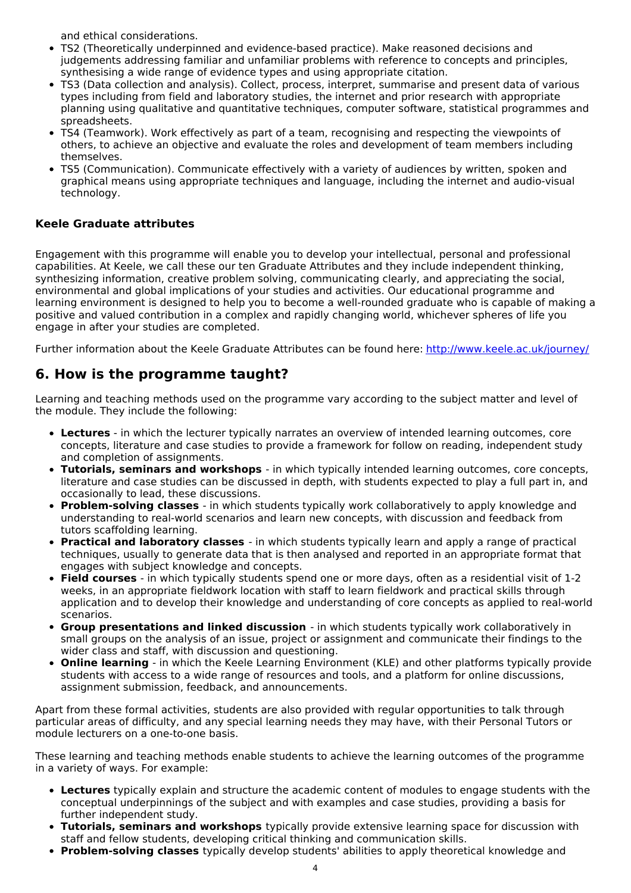and ethical considerations.

- TS2 (Theoretically underpinned and evidence-based practice). Make reasoned decisions and judgements addressing familiar and unfamiliar problems with reference to concepts and principles, synthesising a wide range of evidence types and using appropriate citation.
- TS3 (Data collection and analysis). Collect, process, interpret, summarise and present data of various types including from field and laboratory studies, the internet and prior research with appropriate planning using qualitative and quantitative techniques, computer software, statistical programmes and spreadsheets.
- TS4 (Teamwork). Work effectively as part of a team, recognising and respecting the viewpoints of others, to achieve an objective and evaluate the roles and development of team members including themselves.
- TS5 (Communication). Communicate effectively with a variety of audiences by written, spoken and graphical means using appropriate techniques and language, including the internet and audio-visual technology.

#### **Keele Graduate attributes**

Engagement with this programme will enable you to develop your intellectual, personal and professional capabilities. At Keele, we call these our ten Graduate Attributes and they include independent thinking, synthesizing information, creative problem solving, communicating clearly, and appreciating the social, environmental and global implications of your studies and activities. Our educational programme and learning environment is designed to help you to become a well-rounded graduate who is capable of making a positive and valued contribution in a complex and rapidly changing world, whichever spheres of life you engage in after your studies are completed.

Further information about the Keele Graduate Attributes can be found here: <http://www.keele.ac.uk/journey/>

## **6. How is the programme taught?**

Learning and teaching methods used on the programme vary according to the subject matter and level of the module. They include the following:

- **Lectures** in which the lecturer typically narrates an overview of intended learning outcomes, core concepts, literature and case studies to provide a framework for follow on reading, independent study and completion of assignments.
- **Tutorials, seminars and workshops** in which typically intended learning outcomes, core concepts, literature and case studies can be discussed in depth, with students expected to play a full part in, and occasionally to lead, these discussions.
- **Problem-solving classes** in which students typically work collaboratively to apply knowledge and understanding to real-world scenarios and learn new concepts, with discussion and feedback from tutors scaffolding learning.
- **Practical and laboratory classes** in which students typically learn and apply a range of practical techniques, usually to generate data that is then analysed and reported in an appropriate format that engages with subject knowledge and concepts.
- **Field courses** in which typically students spend one or more days, often as a residential visit of 1-2 weeks, in an appropriate fieldwork location with staff to learn fieldwork and practical skills through application and to develop their knowledge and understanding of core concepts as applied to real-world scenarios.
- **Group presentations and linked discussion** in which students typically work collaboratively in small groups on the analysis of an issue, project or assignment and communicate their findings to the wider class and staff, with discussion and questioning.
- **Online learning** in which the Keele Learning Environment (KLE) and other platforms typically provide students with access to a wide range of resources and tools, and a platform for online discussions, assignment submission, feedback, and announcements.

Apart from these formal activities, students are also provided with regular opportunities to talk through particular areas of difficulty, and any special learning needs they may have, with their Personal Tutors or module lecturers on a one-to-one basis.

These learning and teaching methods enable students to achieve the learning outcomes of the programme in a variety of ways. For example:

- **Lectures** typically explain and structure the academic content of modules to engage students with the conceptual underpinnings of the subject and with examples and case studies, providing a basis for further independent study.
- **Tutorials, seminars and workshops** typically provide extensive learning space for discussion with staff and fellow students, developing critical thinking and communication skills.
- **Problem-solving classes** typically develop students' abilities to apply theoretical knowledge and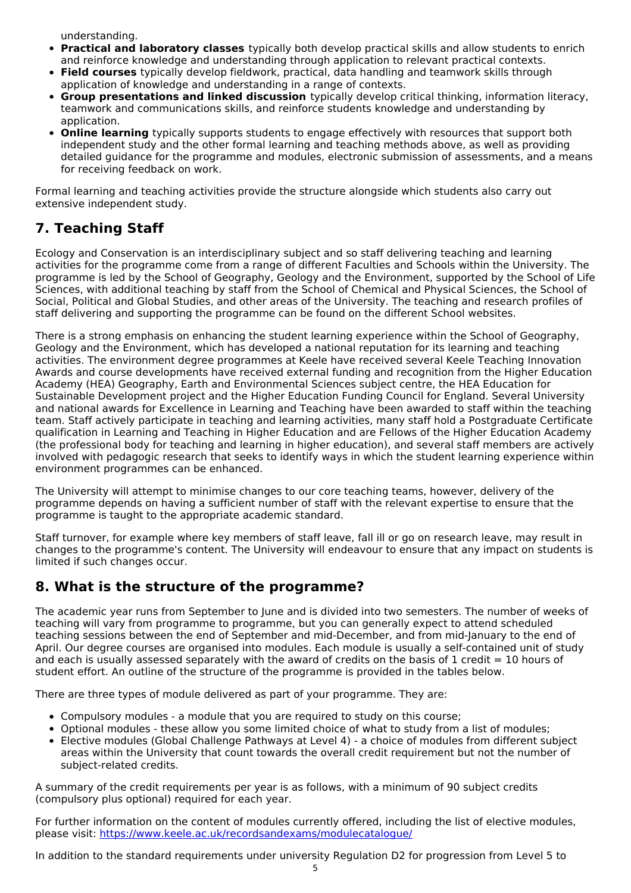understanding.

- **Practical and laboratory classes** typically both develop practical skills and allow students to enrich and reinforce knowledge and understanding through application to relevant practical contexts.
- **Field courses** typically develop fieldwork, practical, data handling and teamwork skills through application of knowledge and understanding in a range of contexts.
- **Group presentations and linked discussion** typically develop critical thinking, information literacy, teamwork and communications skills, and reinforce students knowledge and understanding by application.
- **Online learning** typically supports students to engage effectively with resources that support both independent study and the other formal learning and teaching methods above, as well as providing detailed guidance for the programme and modules, electronic submission of assessments, and a means for receiving feedback on work.

Formal learning and teaching activities provide the structure alongside which students also carry out extensive independent study.

## **7. Teaching Staff**

Ecology and Conservation is an interdisciplinary subject and so staff delivering teaching and learning activities for the programme come from a range of different Faculties and Schools within the University. The programme is led by the School of Geography, Geology and the Environment, supported by the School of Life Sciences, with additional teaching by staff from the School of Chemical and Physical Sciences, the School of Social, Political and Global Studies, and other areas of the University. The teaching and research profiles of staff delivering and supporting the programme can be found on the different School websites.

There is a strong emphasis on enhancing the student learning experience within the School of Geography, Geology and the Environment, which has developed a national reputation for its learning and teaching activities. The environment degree programmes at Keele have received several Keele Teaching Innovation Awards and course developments have received external funding and recognition from the Higher Education Academy (HEA) Geography, Earth and Environmental Sciences subject centre, the HEA Education for Sustainable Development project and the Higher Education Funding Council for England. Several University and national awards for Excellence in Learning and Teaching have been awarded to staff within the teaching team. Staff actively participate in teaching and learning activities, many staff hold a Postgraduate Certificate qualification in Learning and Teaching in Higher Education and are Fellows of the Higher Education Academy (the professional body for teaching and learning in higher education), and several staff members are actively involved with pedagogic research that seeks to identify ways in which the student learning experience within environment programmes can be enhanced.

The University will attempt to minimise changes to our core teaching teams, however, delivery of the programme depends on having a sufficient number of staff with the relevant expertise to ensure that the programme is taught to the appropriate academic standard.

Staff turnover, for example where key members of staff leave, fall ill or go on research leave, may result in changes to the programme's content. The University will endeavour to ensure that any impact on students is limited if such changes occur.

## **8. What is the structure of the programme?**

The academic year runs from September to June and is divided into two semesters. The number of weeks of teaching will vary from programme to programme, but you can generally expect to attend scheduled teaching sessions between the end of September and mid-December, and from mid-January to the end of April. Our degree courses are organised into modules. Each module is usually a self-contained unit of study and each is usually assessed separately with the award of credits on the basis of 1 credit  $= 10$  hours of student effort. An outline of the structure of the programme is provided in the tables below.

There are three types of module delivered as part of your programme. They are:

- Compulsory modules a module that you are required to study on this course;
- Optional modules these allow you some limited choice of what to study from a list of modules;
- Elective modules (Global Challenge Pathways at Level 4) a choice of modules from different subject areas within the University that count towards the overall credit requirement but not the number of subject-related credits.

A summary of the credit requirements per year is as follows, with a minimum of 90 subject credits (compulsory plus optional) required for each year.

For further information on the content of modules currently offered, including the list of elective modules, please visit: <https://www.keele.ac.uk/recordsandexams/modulecatalogue/>

In addition to the standard requirements under university Regulation D2 for progression from Level 5 to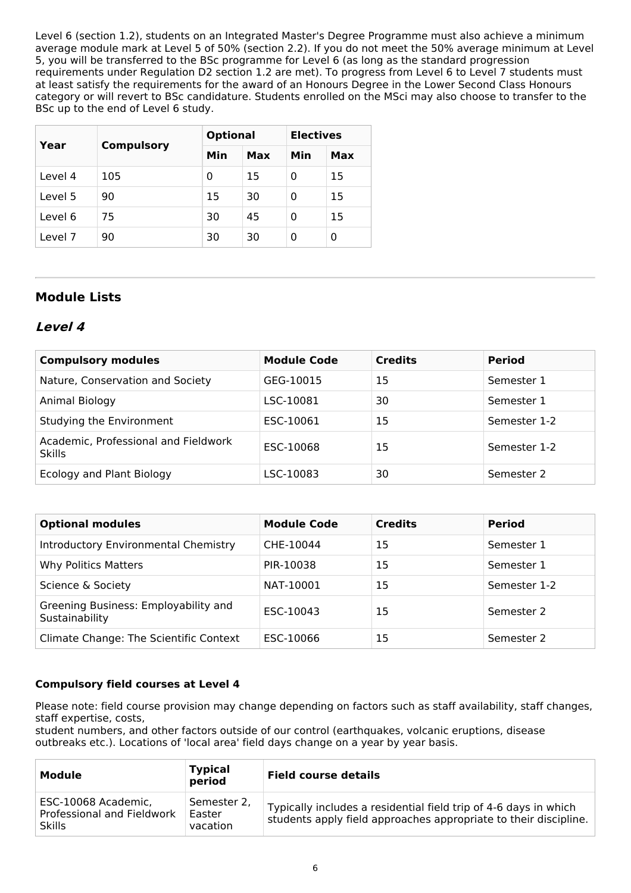Level 6 (section 1.2), students on an Integrated Master's Degree Programme must also achieve a minimum average module mark at Level 5 of 50% (section 2.2). If you do not meet the 50% average minimum at Level 5, you will be transferred to the BSc programme for Level 6 (as long as the standard progression requirements under Regulation D2 section 1.2 are met). To progress from Level 6 to Level 7 students must at least satisfy the requirements for the award of an Honours Degree in the Lower Second Class Honours category or will revert to BSc candidature. Students enrolled on the MSci may also choose to transfer to the BSc up to the end of Level 6 study.

| Year    | <b>Compulsory</b> | <b>Optional</b> |     | <b>Electives</b> |     |
|---------|-------------------|-----------------|-----|------------------|-----|
|         |                   | Min             | Max | Min              | Max |
| Level 4 | 105               | 0               | 15  | 0                | 15  |
| Level 5 | 90                | 15              | 30  | 0                | 15  |
| Level 6 | 75                | 30              | 45  | 0                | 15  |
| Level 7 | 90                | 30              | 30  | 0                | 0   |

## **Module Lists**

## **Level 4**

| <b>Compulsory modules</b>                             | <b>Module Code</b> | <b>Credits</b> | <b>Period</b> |
|-------------------------------------------------------|--------------------|----------------|---------------|
| Nature, Conservation and Society                      | GEG-10015          | 15             | Semester 1    |
| Animal Biology                                        | LSC-10081          | 30             | Semester 1    |
| Studying the Environment                              | ESC-10061          | 15             | Semester 1-2  |
| Academic, Professional and Fieldwork<br><b>Skills</b> | ESC-10068          | 15             | Semester 1-2  |
| Ecology and Plant Biology                             | LSC-10083          | 30             | Semester 2    |

| <b>Optional modules</b>                                | <b>Module Code</b> | <b>Credits</b> | <b>Period</b> |
|--------------------------------------------------------|--------------------|----------------|---------------|
| Introductory Environmental Chemistry                   | CHE-10044          | 15             | Semester 1    |
| <b>Why Politics Matters</b>                            | PIR-10038          | 15             | Semester 1    |
| Science & Society                                      | NAT-10001          | 15             | Semester 1-2  |
| Greening Business: Employability and<br>Sustainability | ESC-10043          | 15             | Semester 2    |
| Climate Change: The Scientific Context                 | ESC-10066          | 15             | Semester 2    |

### **Compulsory field courses at Level 4**

Please note: field course provision may change depending on factors such as staff availability, staff changes, staff expertise, costs,

student numbers, and other factors outside of our control (earthquakes, volcanic eruptions, disease outbreaks etc.). Locations of 'local area' field days change on a year by year basis.

| Module                                                             | <b>Typical</b><br>period          | <b>Field course details</b>                                                                                                          |
|--------------------------------------------------------------------|-----------------------------------|--------------------------------------------------------------------------------------------------------------------------------------|
| ESC-10068 Academic,<br>Professional and Fieldwork<br><b>Skills</b> | Semester 2.<br>Easter<br>vacation | Typically includes a residential field trip of 4-6 days in which<br>students apply field approaches appropriate to their discipline. |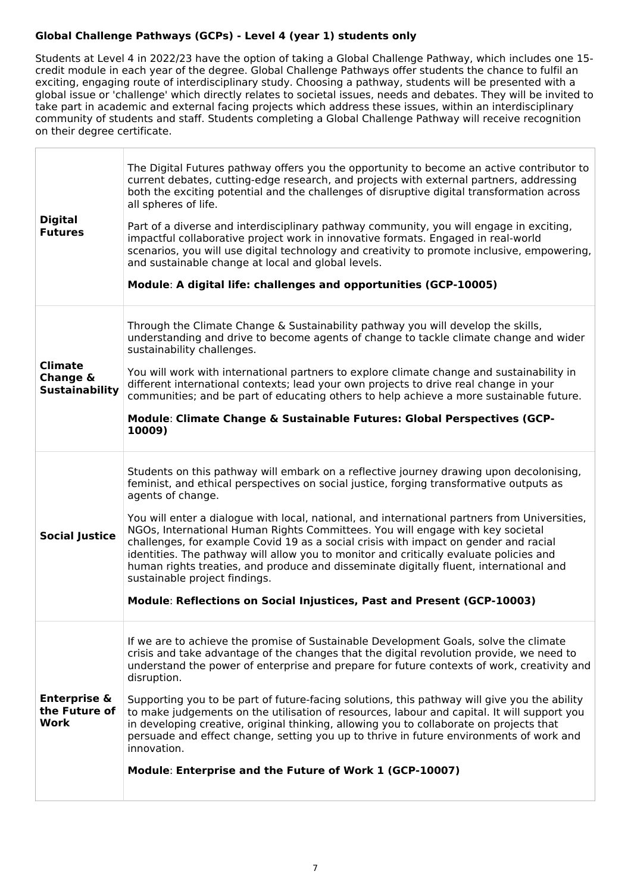### **Global Challenge Pathways (GCPs) - Level 4 (year 1) students only**

Students at Level 4 in 2022/23 have the option of taking a Global Challenge Pathway, which includes one 15 credit module in each year of the degree. Global Challenge Pathways offer students the chance to fulfil an exciting, engaging route of interdisciplinary study. Choosing a pathway, students will be presented with a global issue or 'challenge' which directly relates to societal issues, needs and debates. They will be invited to take part in academic and external facing projects which address these issues, within an interdisciplinary community of students and staff. Students completing a Global Challenge Pathway will receive recognition on their degree certificate.

| <b>Digital</b><br><b>Futures</b>                    | The Digital Futures pathway offers you the opportunity to become an active contributor to<br>current debates, cutting-edge research, and projects with external partners, addressing<br>both the exciting potential and the challenges of disruptive digital transformation across<br>all spheres of life.<br>Part of a diverse and interdisciplinary pathway community, you will engage in exciting,<br>impactful collaborative project work in innovative formats. Engaged in real-world<br>scenarios, you will use digital technology and creativity to promote inclusive, empowering,<br>and sustainable change at local and global levels.<br>Module: A digital life: challenges and opportunities (GCP-10005)                                                               |
|-----------------------------------------------------|-----------------------------------------------------------------------------------------------------------------------------------------------------------------------------------------------------------------------------------------------------------------------------------------------------------------------------------------------------------------------------------------------------------------------------------------------------------------------------------------------------------------------------------------------------------------------------------------------------------------------------------------------------------------------------------------------------------------------------------------------------------------------------------|
| <b>Climate</b><br>Change &<br><b>Sustainability</b> | Through the Climate Change & Sustainability pathway you will develop the skills,<br>understanding and drive to become agents of change to tackle climate change and wider<br>sustainability challenges.<br>You will work with international partners to explore climate change and sustainability in<br>different international contexts; lead your own projects to drive real change in your<br>communities; and be part of educating others to help achieve a more sustainable future.<br>Module: Climate Change & Sustainable Futures: Global Perspectives (GCP-<br>10009)                                                                                                                                                                                                     |
| <b>Social Justice</b>                               | Students on this pathway will embark on a reflective journey drawing upon decolonising,<br>feminist, and ethical perspectives on social justice, forging transformative outputs as<br>agents of change.<br>You will enter a dialogue with local, national, and international partners from Universities,<br>NGOs, International Human Rights Committees. You will engage with key societal<br>challenges, for example Covid 19 as a social crisis with impact on gender and racial<br>identities. The pathway will allow you to monitor and critically evaluate policies and<br>human rights treaties, and produce and disseminate digitally fluent, international and<br>sustainable project findings.<br>Module: Reflections on Social Injustices, Past and Present (GCP-10003) |
| <b>Enterprise &amp;</b><br>the Future of<br>Work    | If we are to achieve the promise of Sustainable Development Goals, solve the climate<br>crisis and take advantage of the changes that the digital revolution provide, we need to<br>understand the power of enterprise and prepare for future contexts of work, creativity and<br>disruption.<br>Supporting you to be part of future-facing solutions, this pathway will give you the ability<br>to make judgements on the utilisation of resources, labour and capital. It will support you<br>in developing creative, original thinking, allowing you to collaborate on projects that<br>persuade and effect change, setting you up to thrive in future environments of work and<br>innovation.<br>Module: Enterprise and the Future of Work 1 (GCP-10007)                      |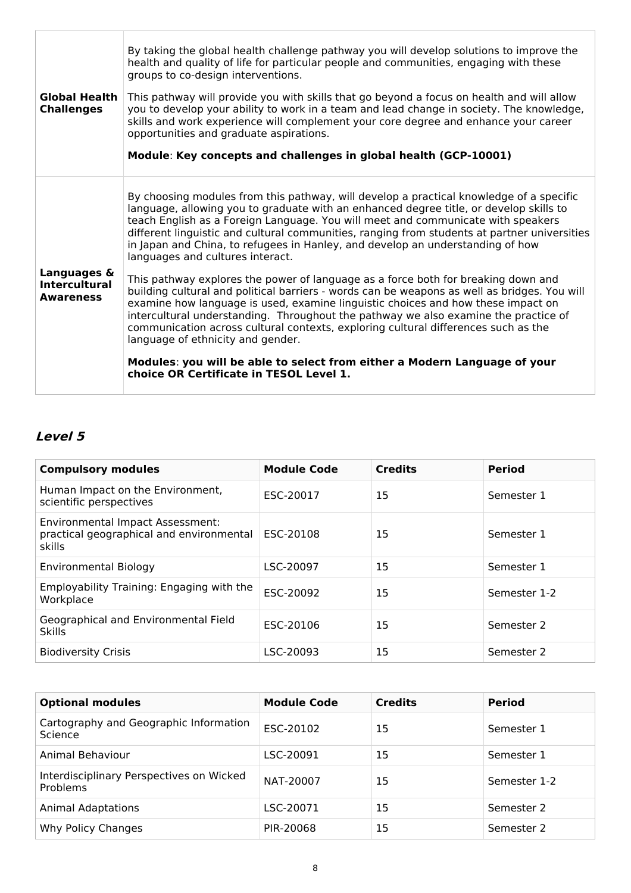| <b>Global Health</b><br><b>Challenges</b>               | By taking the global health challenge pathway you will develop solutions to improve the<br>health and quality of life for particular people and communities, engaging with these<br>groups to co-design interventions.<br>This pathway will provide you with skills that go beyond a focus on health and will allow<br>you to develop your ability to work in a team and lead change in society. The knowledge,<br>skills and work experience will complement your core degree and enhance your career<br>opportunities and graduate aspirations.<br>Module: Key concepts and challenges in global health (GCP-10001) |
|---------------------------------------------------------|-----------------------------------------------------------------------------------------------------------------------------------------------------------------------------------------------------------------------------------------------------------------------------------------------------------------------------------------------------------------------------------------------------------------------------------------------------------------------------------------------------------------------------------------------------------------------------------------------------------------------|
|                                                         | By choosing modules from this pathway, will develop a practical knowledge of a specific<br>language, allowing you to graduate with an enhanced degree title, or develop skills to<br>teach English as a Foreign Language. You will meet and communicate with speakers<br>different linguistic and cultural communities, ranging from students at partner universities<br>in Japan and China, to refugees in Hanley, and develop an understanding of how<br>languages and cultures interact.                                                                                                                           |
| Languages &<br><b>Intercultural</b><br><b>Awareness</b> | This pathway explores the power of language as a force both for breaking down and<br>building cultural and political barriers - words can be weapons as well as bridges. You will<br>examine how language is used, examine linguistic choices and how these impact on<br>intercultural understanding. Throughout the pathway we also examine the practice of<br>communication across cultural contexts, exploring cultural differences such as the<br>language of ethnicity and gender.                                                                                                                               |
|                                                         | Modules: you will be able to select from either a Modern Language of your<br>choice OR Certificate in TESOL Level 1.                                                                                                                                                                                                                                                                                                                                                                                                                                                                                                  |

# **Level 5**

| <b>Compulsory modules</b>                                                                     | <b>Module Code</b> | <b>Credits</b> | <b>Period</b> |
|-----------------------------------------------------------------------------------------------|--------------------|----------------|---------------|
| Human Impact on the Environment,<br>scientific perspectives                                   | ESC-20017          | 15             | Semester 1    |
| <b>Environmental Impact Assessment:</b><br>practical geographical and environmental<br>skills | ESC-20108          | 15             | Semester 1    |
| <b>Environmental Biology</b>                                                                  | LSC-20097          | 15             | Semester 1    |
| Employability Training: Engaging with the<br>Workplace                                        | ESC-20092          | 15             | Semester 1-2  |
| Geographical and Environmental Field<br><b>Skills</b>                                         | ESC-20106          | 15             | Semester 2    |
| <b>Biodiversity Crisis</b>                                                                    | LSC-20093          | 15             | Semester 2    |

| <b>Optional modules</b>                                     | <b>Module Code</b> | <b>Credits</b> | <b>Period</b> |
|-------------------------------------------------------------|--------------------|----------------|---------------|
| Cartography and Geographic Information<br>Science           | ESC-20102          | 15             | Semester 1    |
| Animal Behaviour                                            | LSC-20091          | 15             | Semester 1    |
| Interdisciplinary Perspectives on Wicked<br><b>Problems</b> | NAT-20007          | 15             | Semester 1-2  |
| <b>Animal Adaptations</b>                                   | LSC-20071          | 15             | Semester 2    |
| Why Policy Changes                                          | PIR-20068          | 15             | Semester 2    |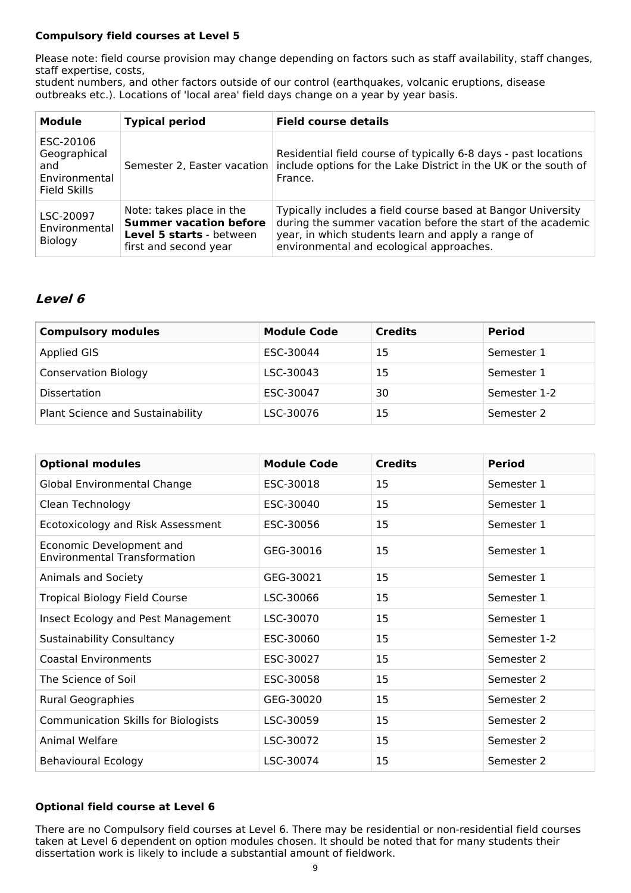### **Compulsory field courses at Level 5**

Please note: field course provision may change depending on factors such as staff availability, staff changes, staff expertise, costs,

student numbers, and other factors outside of our control (earthquakes, volcanic eruptions, disease outbreaks etc.). Locations of 'local area' field days change on a year by year basis.

| <b>Module</b>                                                            | <b>Typical period</b>                                                                                          | <b>Field course details</b>                                                                                                                                                                                                   |
|--------------------------------------------------------------------------|----------------------------------------------------------------------------------------------------------------|-------------------------------------------------------------------------------------------------------------------------------------------------------------------------------------------------------------------------------|
| ESC-20106<br>Geographical<br>and<br>Environmental<br><b>Field Skills</b> |                                                                                                                | Residential field course of typically 6-8 days - past locations<br>Semester 2, Easter vacation include options for the Lake District in the UK or the south of<br>France.                                                     |
| LSC-20097<br>Environmental<br>Biology                                    | Note: takes place in the<br><b>Summer vacation before</b><br>Level 5 starts - between<br>first and second year | Typically includes a field course based at Bangor University<br>during the summer vacation before the start of the academic<br>year, in which students learn and apply a range of<br>environmental and ecological approaches. |

## **Level 6**

| <b>Compulsory modules</b>        | <b>Module Code</b> | <b>Credits</b> | <b>Period</b> |
|----------------------------------|--------------------|----------------|---------------|
| Applied GIS                      | ESC-30044          | 15             | Semester 1    |
| <b>Conservation Biology</b>      | LSC-30043          | 15             | Semester 1    |
| <b>Dissertation</b>              | ESC-30047          | 30             | Semester 1-2  |
| Plant Science and Sustainability | LSC-30076          | 15             | Semester 2    |

| <b>Optional modules</b>                                         | <b>Module Code</b> | <b>Credits</b> | <b>Period</b> |
|-----------------------------------------------------------------|--------------------|----------------|---------------|
| Global Environmental Change                                     | ESC-30018          | 15             | Semester 1    |
| Clean Technology                                                | ESC-30040          | 15             | Semester 1    |
| Ecotoxicology and Risk Assessment                               | ESC-30056          | 15             | Semester 1    |
| Economic Development and<br><b>Environmental Transformation</b> | GEG-30016          | 15             | Semester 1    |
| Animals and Society                                             | GEG-30021          | 15             | Semester 1    |
| <b>Tropical Biology Field Course</b>                            | LSC-30066          | 15             | Semester 1    |
| Insect Ecology and Pest Management                              | LSC-30070          | 15             | Semester 1    |
| <b>Sustainability Consultancy</b>                               | ESC-30060          | 15             | Semester 1-2  |
| <b>Coastal Environments</b>                                     | ESC-30027          | 15             | Semester 2    |
| The Science of Soil                                             | ESC-30058          | 15             | Semester 2    |
| <b>Rural Geographies</b>                                        | GEG-30020          | 15             | Semester 2    |
| <b>Communication Skills for Biologists</b>                      | LSC-30059          | 15             | Semester 2    |
| Animal Welfare                                                  | LSC-30072          | 15             | Semester 2    |
| <b>Behavioural Ecology</b>                                      | LSC-30074          | 15             | Semester 2    |

### **Optional field course at Level 6**

There are no Compulsory field courses at Level 6. There may be residential or non-residential field courses taken at Level 6 dependent on option modules chosen. It should be noted that for many students their dissertation work is likely to include a substantial amount of fieldwork.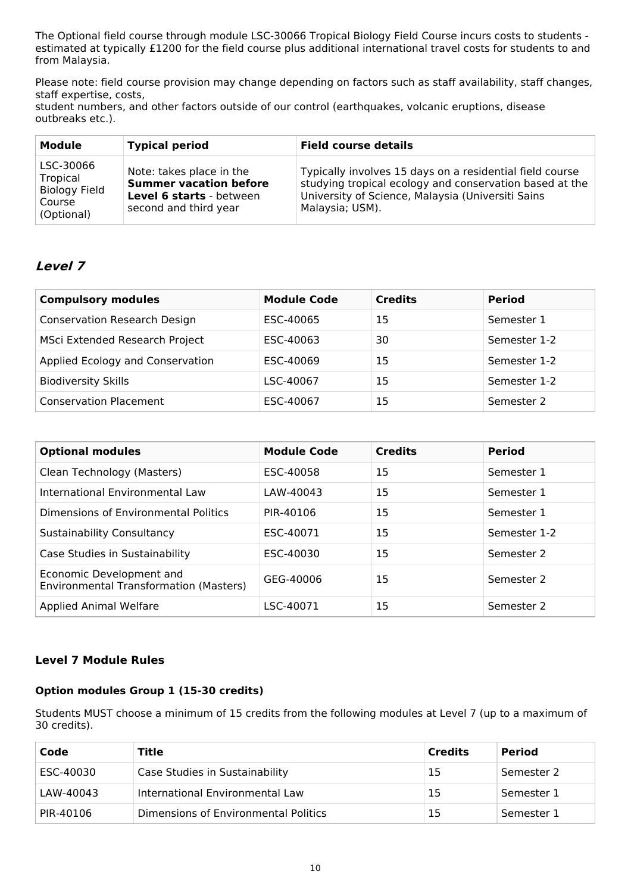The Optional field course through module LSC-30066 Tropical Biology Field Course incurs costs to students estimated at typically £1200 for the field course plus additional international travel costs for students to and from Malaysia.

Please note: field course provision may change depending on factors such as staff availability, staff changes, staff expertise, costs,

student numbers, and other factors outside of our control (earthquakes, volcanic eruptions, disease outbreaks etc.).

| <b>Module</b>                                                         | <b>Typical period</b>                                                                                          | <b>Field course details</b>                                                                                                                                                                 |
|-----------------------------------------------------------------------|----------------------------------------------------------------------------------------------------------------|---------------------------------------------------------------------------------------------------------------------------------------------------------------------------------------------|
| LSC-30066<br>Tropical<br><b>Biology Field</b><br>Course<br>(Optional) | Note: takes place in the<br><b>Summer vacation before</b><br>Level 6 starts - between<br>second and third year | Typically involves 15 days on a residential field course<br>studying tropical ecology and conservation based at the<br>University of Science, Malaysia (Universiti Sains<br>Malaysia; USM). |

## **Level 7**

| <b>Compulsory modules</b>           | <b>Module Code</b> | <b>Credits</b> | <b>Period</b> |
|-------------------------------------|--------------------|----------------|---------------|
| <b>Conservation Research Design</b> | ESC-40065          | 15             | Semester 1    |
| MSci Extended Research Project      | ESC-40063          | 30             | Semester 1-2  |
| Applied Ecology and Conservation    | ESC-40069          | 15             | Semester 1-2  |
| <b>Biodiversity Skills</b>          | LSC-40067          | 15             | Semester 1-2  |
| <b>Conservation Placement</b>       | ESC-40067          | 15             | Semester 2    |

| <b>Optional modules</b>                                            | <b>Module Code</b> | <b>Credits</b> | <b>Period</b> |
|--------------------------------------------------------------------|--------------------|----------------|---------------|
| Clean Technology (Masters)                                         | ESC-40058          | 15             | Semester 1    |
| International Environmental Law                                    | LAW-40043          | 15             | Semester 1    |
| Dimensions of Environmental Politics                               | PIR-40106          | 15             | Semester 1    |
| <b>Sustainability Consultancy</b>                                  | ESC-40071          | 15             | Semester 1-2  |
| Case Studies in Sustainability                                     | ESC-40030          | 15             | Semester 2    |
| Economic Development and<br>Environmental Transformation (Masters) | GEG-40006          | 15             | Semester 2    |
| <b>Applied Animal Welfare</b>                                      | LSC-40071          | 15             | Semester 2    |

### **Level 7 Module Rules**

### **Option modules Group 1 (15-30 credits)**

Students MUST choose a minimum of 15 credits from the following modules at Level 7 (up to a maximum of 30 credits).

| Code      | Title                                | Credits | <b>Period</b> |
|-----------|--------------------------------------|---------|---------------|
| ESC-40030 | Case Studies in Sustainability       | 15      | Semester 2    |
| LAW-40043 | International Environmental Law      | 15      | Semester 1    |
| PIR-40106 | Dimensions of Environmental Politics | 15      | Semester 1    |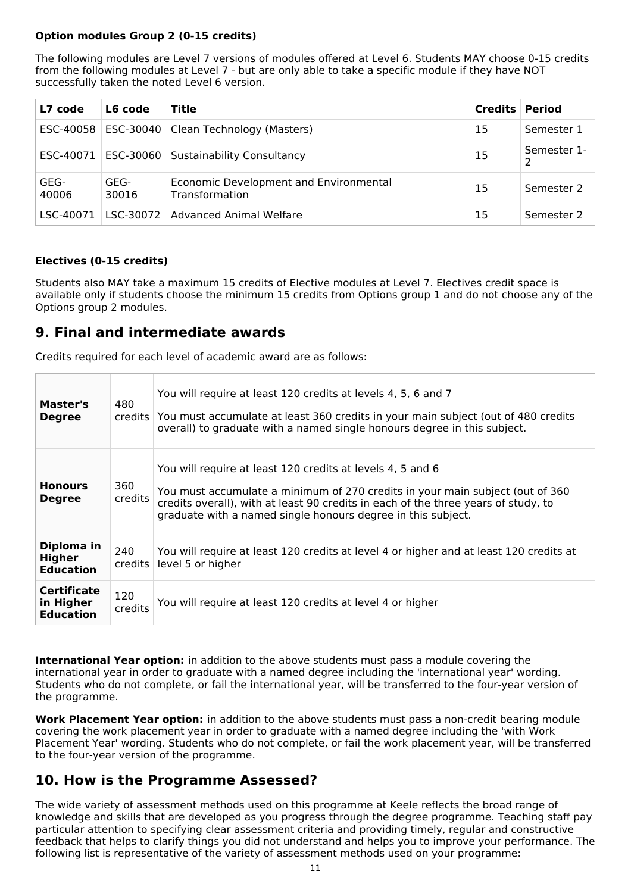### **Option modules Group 2 (0-15 credits)**

The following modules are Level 7 versions of modules offered at Level 6. Students MAY choose 0-15 credits from the following modules at Level 7 - but are only able to take a specific module if they have NOT successfully taken the noted Level 6 version.

| L7 code       | L6 code       | Title                                                    | <b>Credits Period</b> |                  |
|---------------|---------------|----------------------------------------------------------|-----------------------|------------------|
|               |               | ESC-40058   ESC-30040   Clean Technology (Masters)<br>15 |                       | Semester 1       |
|               |               | ESC-40071 ESC-30060 Sustainability Consultancy<br>15     |                       | Semester 1-<br>っ |
| GEG-<br>40006 | GEG-<br>30016 | Economic Development and Environmental<br>Transformation |                       | Semester 2       |
| LSC-40071     | LSC-30072     | <b>Advanced Animal Welfare</b>                           | 15                    | Semester 2       |

### **Electives (0-15 credits)**

Students also MAY take a maximum 15 credits of Elective modules at Level 7. Electives credit space is available only if students choose the minimum 15 credits from Options group 1 and do not choose any of the Options group 2 modules.

## **9. Final and intermediate awards**

Credits required for each level of academic award are as follows:

| Master's<br><b>Degree</b>                           | 480            | You will require at least 120 credits at levels 4, 5, 6 and 7<br>credits You must accumulate at least 360 credits in your main subject (out of 480 credits<br>overall) to graduate with a named single honours degree in this subject.                                                            |
|-----------------------------------------------------|----------------|---------------------------------------------------------------------------------------------------------------------------------------------------------------------------------------------------------------------------------------------------------------------------------------------------|
| <b>Honours</b><br><b>Degree</b>                     | 360<br>credits | You will require at least 120 credits at levels 4, 5 and 6<br>You must accumulate a minimum of 270 credits in your main subject (out of 360<br>credits overall), with at least 90 credits in each of the three years of study, to<br>graduate with a named single honours degree in this subject. |
| Diploma in<br><b>Higher</b><br><b>Education</b>     | 240<br>credits | You will require at least 120 credits at level 4 or higher and at least 120 credits at<br>level 5 or higher                                                                                                                                                                                       |
| <b>Certificate</b><br>in Higher<br><b>Education</b> | 120<br>credits | You will require at least 120 credits at level 4 or higher                                                                                                                                                                                                                                        |

**International Year option:** in addition to the above students must pass a module covering the international year in order to graduate with a named degree including the 'international year' wording. Students who do not complete, or fail the international year, will be transferred to the four-year version of the programme.

**Work Placement Year option:** in addition to the above students must pass a non-credit bearing module covering the work placement year in order to graduate with a named degree including the 'with Work Placement Year' wording. Students who do not complete, or fail the work placement year, will be transferred to the four-year version of the programme.

## **10. How is the Programme Assessed?**

The wide variety of assessment methods used on this programme at Keele reflects the broad range of knowledge and skills that are developed as you progress through the degree programme. Teaching staff pay particular attention to specifying clear assessment criteria and providing timely, regular and constructive feedback that helps to clarify things you did not understand and helps you to improve your performance. The following list is representative of the variety of assessment methods used on your programme: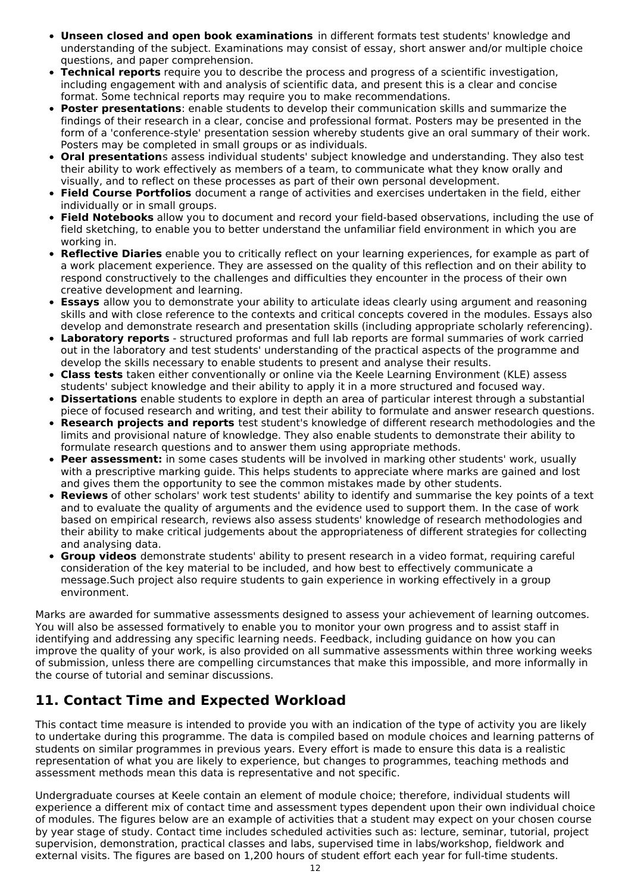- **Unseen closed and open book examinations** in different formats test students' knowledge and understanding of the subject. Examinations may consist of essay, short answer and/or multiple choice questions, and paper comprehension.
- **Technical reports** require you to describe the process and progress of a scientific investigation, including engagement with and analysis of scientific data, and present this is a clear and concise format. Some technical reports may require you to make recommendations.
- **Poster presentations**: enable students to develop their communication skills and summarize the findings of their research in a clear, concise and professional format. Posters may be presented in the form of a 'conference-style' presentation session whereby students give an oral summary of their work. Posters may be completed in small groups or as individuals.
- **Oral presentation**s assess individual students' subject knowledge and understanding. They also test their ability to work effectively as members of a team, to communicate what they know orally and visually, and to reflect on these processes as part of their own personal development.
- **Field Course Portfolios** document a range of activities and exercises undertaken in the field, either individually or in small groups.
- **Field Notebooks** allow you to document and record your field-based observations, including the use of field sketching, to enable you to better understand the unfamiliar field environment in which you are working in.
- **Reflective Diaries** enable you to critically reflect on your learning experiences, for example as part of a work placement experience. They are assessed on the quality of this reflection and on their ability to respond constructively to the challenges and difficulties they encounter in the process of their own creative development and learning.
- **Essays** allow you to demonstrate your ability to articulate ideas clearly using argument and reasoning skills and with close reference to the contexts and critical concepts covered in the modules. Essays also develop and demonstrate research and presentation skills (including appropriate scholarly referencing).
- **Laboratory reports** structured proformas and full lab reports are formal summaries of work carried out in the laboratory and test students' understanding of the practical aspects of the programme and develop the skills necessary to enable students to present and analyse their results.
- **Class tests** taken either conventionally or online via the Keele Learning Environment (KLE) assess students' subject knowledge and their ability to apply it in a more structured and focused way.
- **Dissertations** enable students to explore in depth an area of particular interest through a substantial piece of focused research and writing, and test their ability to formulate and answer research questions.
- **Research projects and reports** test student's knowledge of different research methodologies and the limits and provisional nature of knowledge. They also enable students to demonstrate their ability to formulate research questions and to answer them using appropriate methods.
- **Peer assessment:** in some cases students will be involved in marking other students' work, usually with a prescriptive marking guide. This helps students to appreciate where marks are gained and lost and gives them the opportunity to see the common mistakes made by other students.
- **Reviews** of other scholars' work test students' ability to identify and summarise the key points of a text and to evaluate the quality of arguments and the evidence used to support them. In the case of work based on empirical research, reviews also assess students' knowledge of research methodologies and their ability to make critical judgements about the appropriateness of different strategies for collecting and analysing data.
- **Group videos** demonstrate students' ability to present research in a video format, requiring careful consideration of the key material to be included, and how best to effectively communicate a message.Such project also require students to gain experience in working effectively in a group environment.

Marks are awarded for summative assessments designed to assess your achievement of learning outcomes. You will also be assessed formatively to enable you to monitor your own progress and to assist staff in identifying and addressing any specific learning needs. Feedback, including guidance on how you can improve the quality of your work, is also provided on all summative assessments within three working weeks of submission, unless there are compelling circumstances that make this impossible, and more informally in the course of tutorial and seminar discussions.

## **11. Contact Time and Expected Workload**

This contact time measure is intended to provide you with an indication of the type of activity you are likely to undertake during this programme. The data is compiled based on module choices and learning patterns of students on similar programmes in previous years. Every effort is made to ensure this data is a realistic representation of what you are likely to experience, but changes to programmes, teaching methods and assessment methods mean this data is representative and not specific.

Undergraduate courses at Keele contain an element of module choice; therefore, individual students will experience a different mix of contact time and assessment types dependent upon their own individual choice of modules. The figures below are an example of activities that a student may expect on your chosen course by year stage of study. Contact time includes scheduled activities such as: lecture, seminar, tutorial, project supervision, demonstration, practical classes and labs, supervised time in labs/workshop, fieldwork and external visits. The figures are based on 1,200 hours of student effort each year for full-time students.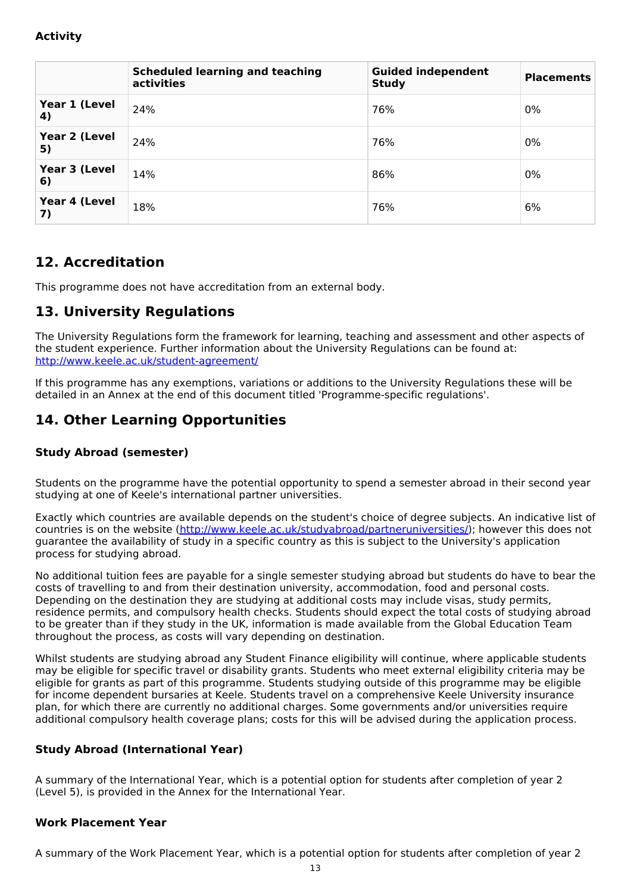## **Activity**

|                     | <b>Scheduled learning and teaching</b><br>activities | <b>Guided independent</b><br><b>Study</b> | <b>Placements</b> |
|---------------------|------------------------------------------------------|-------------------------------------------|-------------------|
| Year 1 (Level<br>4) | 24%                                                  | 76%                                       | $0\%$             |
| Year 2 (Level<br>5) | 24%                                                  | 76%                                       | 0%                |
| Year 3 (Level<br>6) | 14%                                                  | 86%                                       | $0\%$             |
| Year 4 (Level<br>7) | 18%                                                  | 76%                                       | 6%                |

## **12. Accreditation**

This programme does not have accreditation from an external body.

## **13. University Regulations**

The University Regulations form the framework for learning, teaching and assessment and other aspects of the student experience. Further information about the University Regulations can be found at: <http://www.keele.ac.uk/student-agreement/>

If this programme has any exemptions, variations or additions to the University Regulations these will be detailed in an Annex at the end of this document titled 'Programme-specific regulations'.

## **14. Other Learning Opportunities**

### **Study Abroad (semester)**

Students on the programme have the potential opportunity to spend a semester abroad in their second year studying at one of Keele's international partner universities.

Exactly which countries are available depends on the student's choice of degree subjects. An indicative list of countries is on the website (<http://www.keele.ac.uk/studyabroad/partneruniversities/>); however this does not guarantee the availability of study in a specific country as this is subject to the University's application process for studying abroad.

No additional tuition fees are payable for a single semester studying abroad but students do have to bear the costs of travelling to and from their destination university, accommodation, food and personal costs. Depending on the destination they are studying at additional costs may include visas, study permits, residence permits, and compulsory health checks. Students should expect the total costs of studying abroad to be greater than if they study in the UK, information is made available from the Global Education Team throughout the process, as costs will vary depending on destination.

Whilst students are studying abroad any Student Finance eligibility will continue, where applicable students may be eligible for specific travel or disability grants. Students who meet external eligibility criteria may be eligible for grants as part of this programme. Students studying outside of this programme may be eligible for income dependent bursaries at Keele. Students travel on a comprehensive Keele University insurance plan, for which there are currently no additional charges. Some governments and/or universities require additional compulsory health coverage plans; costs for this will be advised during the application process.

### **Study Abroad (International Year)**

A summary of the International Year, which is a potential option for students after completion of year 2 (Level 5), is provided in the Annex for the International Year.

## **Work Placement Year**

A summary of the Work Placement Year, which is a potential option for students after completion of year 2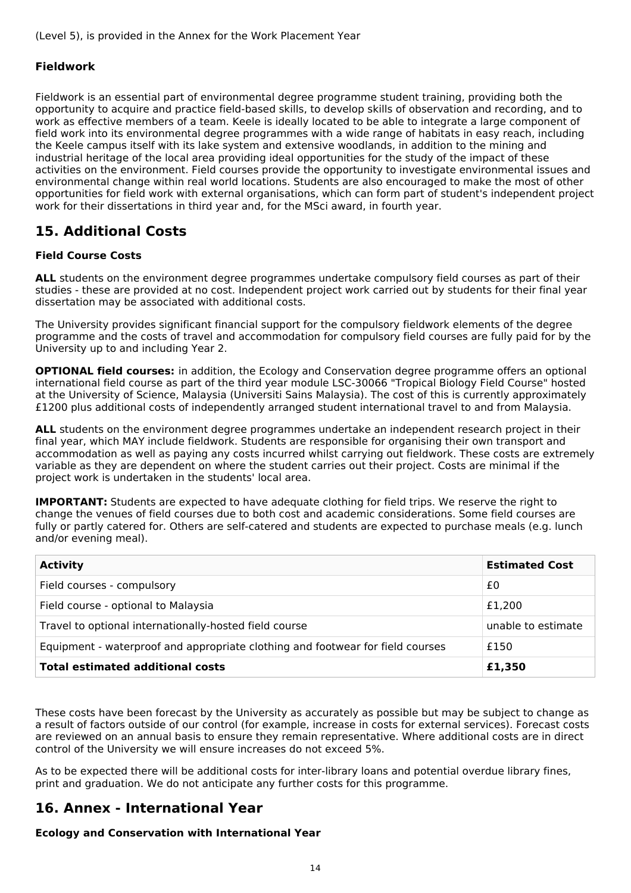#### **Fieldwork**

Fieldwork is an essential part of environmental degree programme student training, providing both the opportunity to acquire and practice field-based skills, to develop skills of observation and recording, and to work as effective members of a team. Keele is ideally located to be able to integrate a large component of field work into its environmental degree programmes with a wide range of habitats in easy reach, including the Keele campus itself with its lake system and extensive woodlands, in addition to the mining and industrial heritage of the local area providing ideal opportunities for the study of the impact of these activities on the environment. Field courses provide the opportunity to investigate environmental issues and environmental change within real world locations. Students are also encouraged to make the most of other opportunities for field work with external organisations, which can form part of student's independent project work for their dissertations in third year and, for the MSci award, in fourth year.

## **15. Additional Costs**

#### **Field Course Costs**

**ALL** students on the environment degree programmes undertake compulsory field courses as part of their studies - these are provided at no cost. Independent project work carried out by students for their final year dissertation may be associated with additional costs.

The University provides significant financial support for the compulsory fieldwork elements of the degree programme and the costs of travel and accommodation for compulsory field courses are fully paid for by the University up to and including Year 2.

**OPTIONAL field courses:** in addition, the Ecology and Conservation degree programme offers an optional international field course as part of the third year module LSC-30066 "Tropical Biology Field Course" hosted at the University of Science, Malaysia (Universiti Sains Malaysia). The cost of this is currently approximately £1200 plus additional costs of independently arranged student international travel to and from Malaysia.

ALL students on the environment degree programmes undertake an independent research project in their final year, which MAY include fieldwork. Students are responsible for organising their own transport and accommodation as well as paying any costs incurred whilst carrying out fieldwork. These costs are extremely variable as they are dependent on where the student carries out their project. Costs are minimal if the project work is undertaken in the students' local area.

**IMPORTANT:** Students are expected to have adequate clothing for field trips. We reserve the right to change the venues of field courses due to both cost and academic considerations. Some field courses are fully or partly catered for. Others are self-catered and students are expected to purchase meals (e.g. lunch and/or evening meal).

| <b>Activity</b>                                                                | <b>Estimated Cost</b> |  |
|--------------------------------------------------------------------------------|-----------------------|--|
| Field courses - compulsory                                                     | £0                    |  |
| Field course - optional to Malaysia                                            | £1,200                |  |
| Travel to optional internationally-hosted field course                         | unable to estimate    |  |
| Equipment - waterproof and appropriate clothing and footwear for field courses | £150                  |  |
| <b>Total estimated additional costs</b>                                        | £1,350                |  |

These costs have been forecast by the University as accurately as possible but may be subject to change as a result of factors outside of our control (for example, increase in costs for external services). Forecast costs are reviewed on an annual basis to ensure they remain representative. Where additional costs are in direct control of the University we will ensure increases do not exceed 5%.

As to be expected there will be additional costs for inter-library loans and potential overdue library fines, print and graduation. We do not anticipate any further costs for this programme.

## **16. Annex - International Year**

#### **Ecology and Conservation with International Year**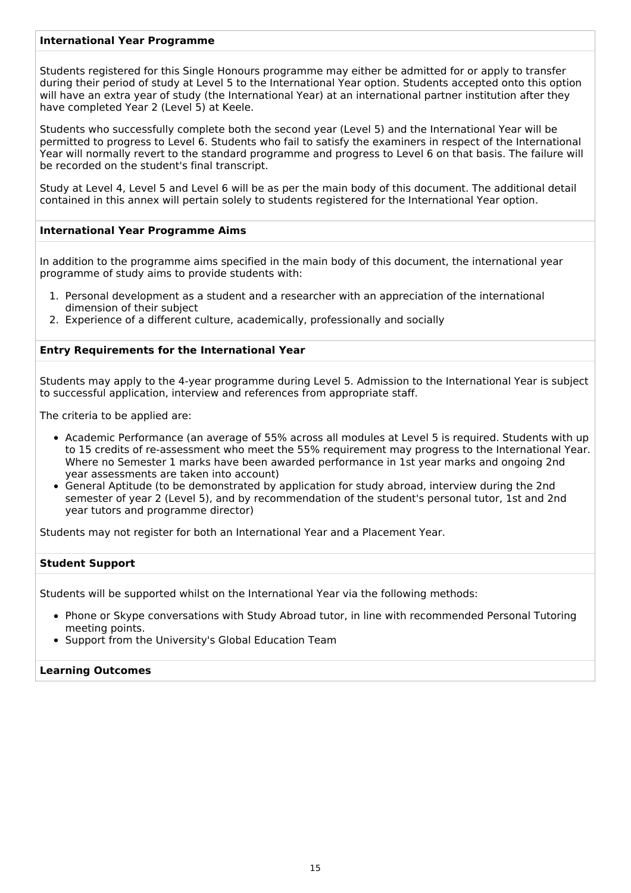#### **International Year Programme**

Students registered for this Single Honours programme may either be admitted for or apply to transfer during their period of study at Level 5 to the International Year option. Students accepted onto this option will have an extra year of study (the International Year) at an international partner institution after they have completed Year 2 (Level 5) at Keele.

Students who successfully complete both the second year (Level 5) and the International Year will be permitted to progress to Level 6. Students who fail to satisfy the examiners in respect of the International Year will normally revert to the standard programme and progress to Level 6 on that basis. The failure will be recorded on the student's final transcript.

Study at Level 4, Level 5 and Level 6 will be as per the main body of this document. The additional detail contained in this annex will pertain solely to students registered for the International Year option.

#### **International Year Programme Aims**

In addition to the programme aims specified in the main body of this document, the international year programme of study aims to provide students with:

- 1. Personal development as a student and a researcher with an appreciation of the international dimension of their subject
- 2. Experience of a different culture, academically, professionally and socially

#### **Entry Requirements for the International Year**

Students may apply to the 4-year programme during Level 5. Admission to the International Year is subject to successful application, interview and references from appropriate staff.

The criteria to be applied are:

- Academic Performance (an average of 55% across all modules at Level 5 is required. Students with up to 15 credits of re-assessment who meet the 55% requirement may progress to the International Year. Where no Semester 1 marks have been awarded performance in 1st year marks and ongoing 2nd year assessments are taken into account)
- General Aptitude (to be demonstrated by application for study abroad, interview during the 2nd semester of year 2 (Level 5), and by recommendation of the student's personal tutor, 1st and 2nd year tutors and programme director)

Students may not register for both an International Year and a Placement Year.

#### **Student Support**

Students will be supported whilst on the International Year via the following methods:

- Phone or Skype conversations with Study Abroad tutor, in line with recommended Personal Tutoring meeting points.
- Support from the University's Global Education Team

#### **Learning Outcomes**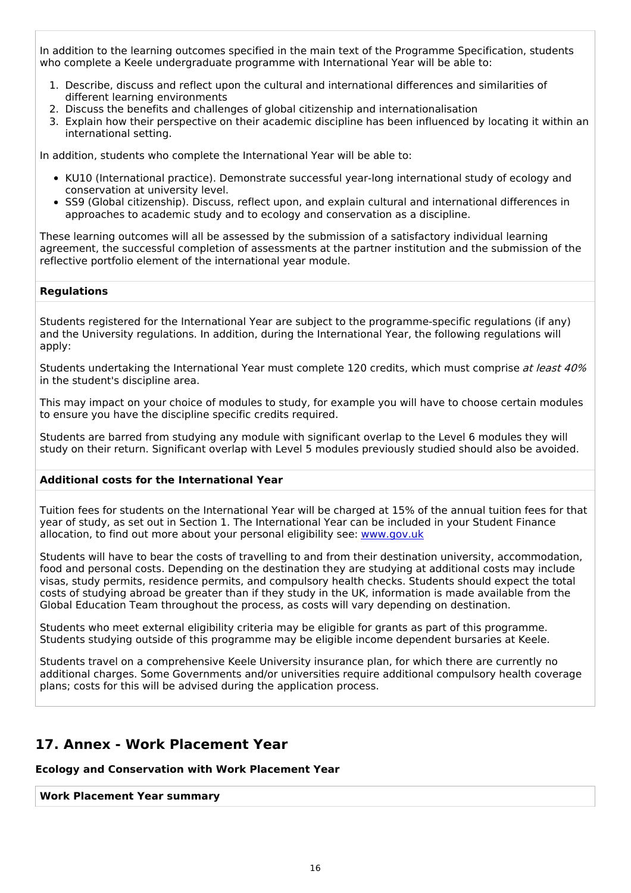In addition to the learning outcomes specified in the main text of the Programme Specification, students who complete a Keele undergraduate programme with International Year will be able to:

- 1. Describe, discuss and reflect upon the cultural and international differences and similarities of different learning environments
- 2. Discuss the benefits and challenges of global citizenship and internationalisation
- 3. Explain how their perspective on their academic discipline has been influenced by locating it within an international setting.

In addition, students who complete the International Year will be able to:

- KU10 (International practice). Demonstrate successful year-long international study of ecology and conservation at university level.
- SS9 (Global citizenship). Discuss, reflect upon, and explain cultural and international differences in approaches to academic study and to ecology and conservation as a discipline.

These learning outcomes will all be assessed by the submission of a satisfactory individual learning agreement, the successful completion of assessments at the partner institution and the submission of the reflective portfolio element of the international year module.

#### **Regulations**

Students registered for the International Year are subject to the programme-specific regulations (if any) and the University regulations. In addition, during the International Year, the following regulations will apply:

Students undertaking the International Year must complete 120 credits, which must comprise at least 40% in the student's discipline area.

This may impact on your choice of modules to study, for example you will have to choose certain modules to ensure you have the discipline specific credits required.

Students are barred from studying any module with significant overlap to the Level 6 modules they will study on their return. Significant overlap with Level 5 modules previously studied should also be avoided.

#### **Additional costs for the International Year**

Tuition fees for students on the International Year will be charged at 15% of the annual tuition fees for that year of study, as set out in Section 1. The International Year can be included in your Student Finance allocation, to find out more about your personal eligibility see: [www.gov.uk](http://www.gov.uk/)

Students will have to bear the costs of travelling to and from their destination university, accommodation, food and personal costs. Depending on the destination they are studying at additional costs may include visas, study permits, residence permits, and compulsory health checks. Students should expect the total costs of studying abroad be greater than if they study in the UK, information is made available from the Global Education Team throughout the process, as costs will vary depending on destination.

Students who meet external eligibility criteria may be eligible for grants as part of this programme. Students studying outside of this programme may be eligible income dependent bursaries at Keele.

Students travel on a comprehensive Keele University insurance plan, for which there are currently no additional charges. Some Governments and/or universities require additional compulsory health coverage plans; costs for this will be advised during the application process.

### **17. Annex - Work Placement Year**

**Ecology and Conservation with Work Placement Year**

**Work Placement Year summary**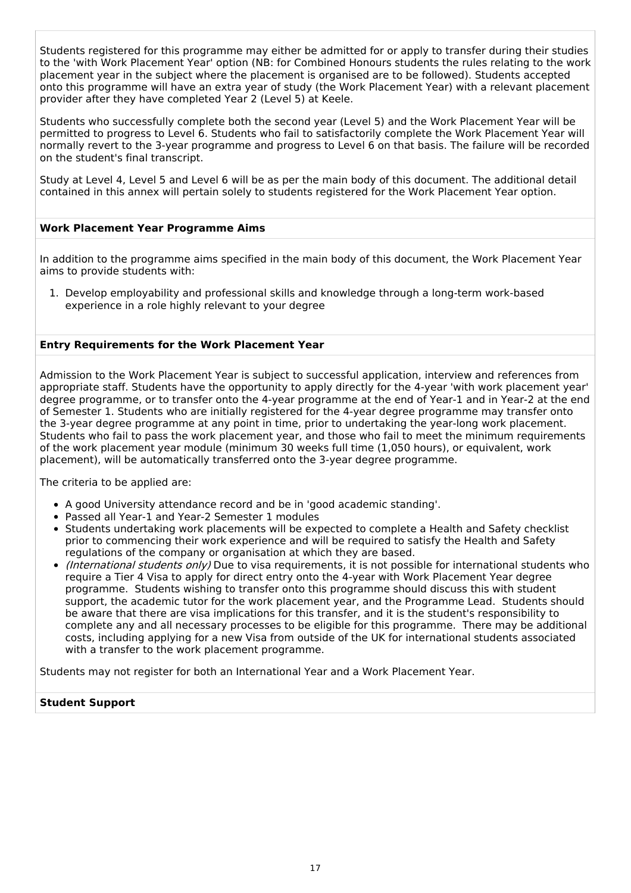Students registered for this programme may either be admitted for or apply to transfer during their studies to the 'with Work Placement Year' option (NB: for Combined Honours students the rules relating to the work placement year in the subject where the placement is organised are to be followed). Students accepted onto this programme will have an extra year of study (the Work Placement Year) with a relevant placement provider after they have completed Year 2 (Level 5) at Keele.

Students who successfully complete both the second year (Level 5) and the Work Placement Year will be permitted to progress to Level 6. Students who fail to satisfactorily complete the Work Placement Year will normally revert to the 3-year programme and progress to Level 6 on that basis. The failure will be recorded on the student's final transcript.

Study at Level 4, Level 5 and Level 6 will be as per the main body of this document. The additional detail contained in this annex will pertain solely to students registered for the Work Placement Year option.

#### **Work Placement Year Programme Aims**

In addition to the programme aims specified in the main body of this document, the Work Placement Year aims to provide students with:

1. Develop employability and professional skills and knowledge through a long-term work-based experience in a role highly relevant to your degree

#### **Entry Requirements for the Work Placement Year**

Admission to the Work Placement Year is subject to successful application, interview and references from appropriate staff. Students have the opportunity to apply directly for the 4-year 'with work placement year' degree programme, or to transfer onto the 4-year programme at the end of Year-1 and in Year-2 at the end of Semester 1. Students who are initially registered for the 4-year degree programme may transfer onto the 3-year degree programme at any point in time, prior to undertaking the year-long work placement. Students who fail to pass the work placement year, and those who fail to meet the minimum requirements of the work placement year module (minimum 30 weeks full time (1,050 hours), or equivalent, work placement), will be automatically transferred onto the 3-year degree programme.

The criteria to be applied are:

- A good University attendance record and be in 'good academic standing'.
- Passed all Year-1 and Year-2 Semester 1 modules
- Students undertaking work placements will be expected to complete a Health and Safety checklist prior to commencing their work experience and will be required to satisfy the Health and Safety regulations of the company or organisation at which they are based.
- (International students only) Due to visa requirements, it is not possible for international students who require a Tier 4 Visa to apply for direct entry onto the 4-year with Work Placement Year degree programme. Students wishing to transfer onto this programme should discuss this with student support, the academic tutor for the work placement year, and the Programme Lead. Students should be aware that there are visa implications for this transfer, and it is the student's responsibility to complete any and all necessary processes to be eligible for this programme. There may be additional costs, including applying for a new Visa from outside of the UK for international students associated with a transfer to the work placement programme.

Students may not register for both an International Year and a Work Placement Year.

#### **Student Support**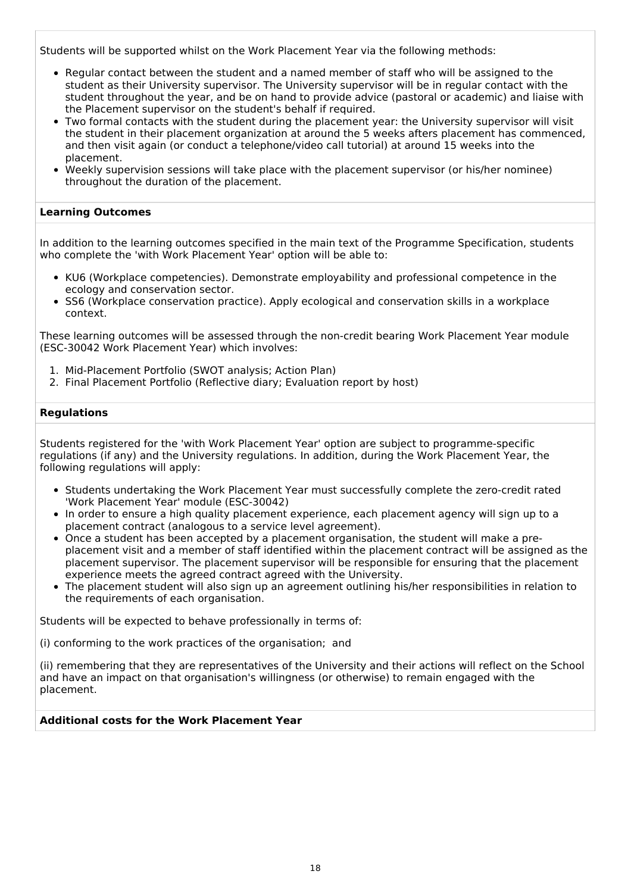Students will be supported whilst on the Work Placement Year via the following methods:

- Regular contact between the student and a named member of staff who will be assigned to the student as their University supervisor. The University supervisor will be in regular contact with the student throughout the year, and be on hand to provide advice (pastoral or academic) and liaise with the Placement supervisor on the student's behalf if required.
- Two formal contacts with the student during the placement year: the University supervisor will visit the student in their placement organization at around the 5 weeks afters placement has commenced, and then visit again (or conduct a telephone/video call tutorial) at around 15 weeks into the placement.
- Weekly supervision sessions will take place with the placement supervisor (or his/her nominee) throughout the duration of the placement.

#### **Learning Outcomes**

In addition to the learning outcomes specified in the main text of the Programme Specification, students who complete the 'with Work Placement Year' option will be able to:

- KU6 (Workplace competencies). Demonstrate employability and professional competence in the ecology and conservation sector.
- SS6 (Workplace conservation practice). Apply ecological and conservation skills in a workplace context.

These learning outcomes will be assessed through the non-credit bearing Work Placement Year module (ESC-30042 Work Placement Year) which involves:

- 1. Mid-Placement Portfolio (SWOT analysis; Action Plan)
- 2. Final Placement Portfolio (Reflective diary; Evaluation report by host)

#### **Regulations**

Students registered for the 'with Work Placement Year' option are subject to programme-specific regulations (if any) and the University regulations. In addition, during the Work Placement Year, the following regulations will apply:

- Students undertaking the Work Placement Year must successfully complete the zero-credit rated 'Work Placement Year' module (ESC-30042)
- In order to ensure a high quality placement experience, each placement agency will sign up to a placement contract (analogous to a service level agreement).
- Once a student has been accepted by a placement organisation, the student will make a preplacement visit and a member of staff identified within the placement contract will be assigned as the placement supervisor. The placement supervisor will be responsible for ensuring that the placement experience meets the agreed contract agreed with the University.
- The placement student will also sign up an agreement outlining his/her responsibilities in relation to the requirements of each organisation.

Students will be expected to behave professionally in terms of:

(i) conforming to the work practices of the organisation; and

(ii) remembering that they are representatives of the University and their actions will reflect on the School and have an impact on that organisation's willingness (or otherwise) to remain engaged with the placement.

#### **Additional costs for the Work Placement Year**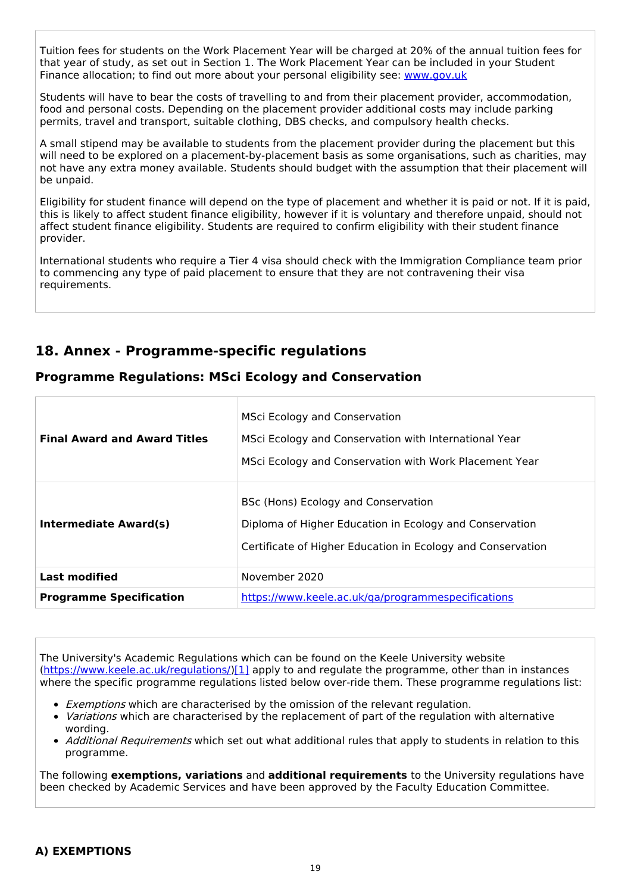Tuition fees for students on the Work Placement Year will be charged at 20% of the annual tuition fees for that year of study, as set out in Section 1. The Work Placement Year can be included in your Student Finance allocation; to find out more about your personal eligibility see: [www.gov.uk](http://www.gov.uk/)

Students will have to bear the costs of travelling to and from their placement provider, accommodation, food and personal costs. Depending on the placement provider additional costs may include parking permits, travel and transport, suitable clothing, DBS checks, and compulsory health checks.

A small stipend may be available to students from the placement provider during the placement but this will need to be explored on a placement-by-placement basis as some organisations, such as charities, may not have any extra money available. Students should budget with the assumption that their placement will be unpaid.

Eligibility for student finance will depend on the type of placement and whether it is paid or not. If it is paid, this is likely to affect student finance eligibility, however if it is voluntary and therefore unpaid, should not affect student finance eligibility. Students are required to confirm eligibility with their student finance provider.

International students who require a Tier 4 visa should check with the Immigration Compliance team prior to commencing any type of paid placement to ensure that they are not contravening their visa requirements.

## **18. Annex - Programme-specific regulations**

## **Programme Regulations: MSci Ecology and Conservation**

| <b>Final Award and Award Titles</b> | <b>MSci Ecology and Conservation</b><br>MSci Ecology and Conservation with International Year<br>MSci Ecology and Conservation with Work Placement Year       |  |
|-------------------------------------|---------------------------------------------------------------------------------------------------------------------------------------------------------------|--|
| Intermediate Award(s)               | BSc (Hons) Ecology and Conservation<br>Diploma of Higher Education in Ecology and Conservation<br>Certificate of Higher Education in Ecology and Conservation |  |
| <b>Last modified</b>                | November 2020                                                                                                                                                 |  |
| <b>Programme Specification</b>      | https://www.keele.ac.uk/ga/programmespecifications                                                                                                            |  |

The University's Academic Regulations which can be found on the Keele University website [\(https://www.keele.ac.uk/regulations/](https://www.keele.ac.uk/regulations/)[\)\[1\]](https://scims-api.keele.ac.uk/#_ftn1) apply to and regulate the programme, other than in instances where the specific programme regulations listed below over-ride them. These programme regulations list:

- **Exemptions which are characterised by the omission of the relevant regulation.**
- *Variations* which are characterised by the replacement of part of the regulation with alternative wording.
- Additional Requirements which set out what additional rules that apply to students in relation to this programme.

The following **exemptions, variations** and **additional requirements** to the University regulations have been checked by Academic Services and have been approved by the Faculty Education Committee.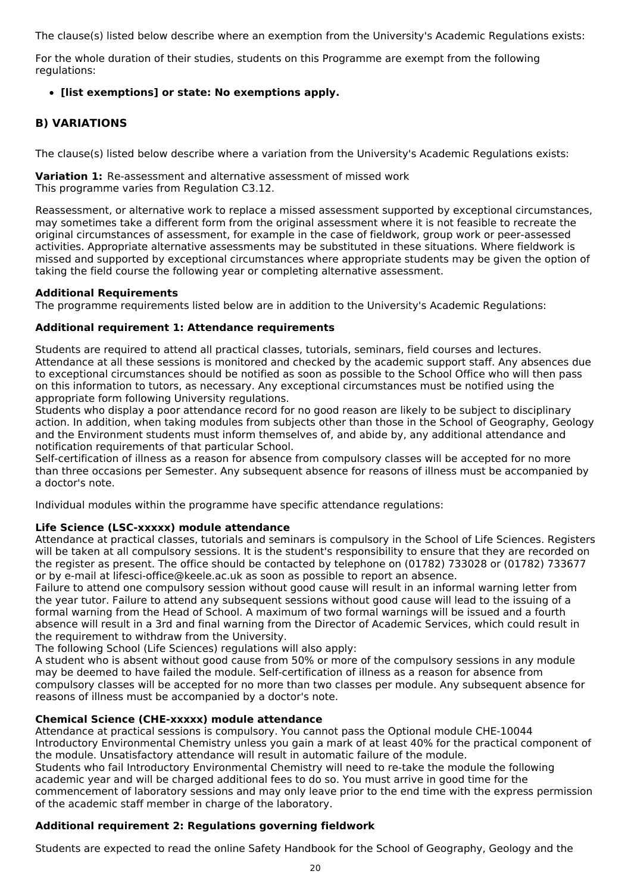The clause(s) listed below describe where an exemption from the University's Academic Regulations exists:

For the whole duration of their studies, students on this Programme are exempt from the following regulations:

### **[list exemptions] or state: No exemptions apply.**

## **B) VARIATIONS**

The clause(s) listed below describe where a variation from the University's Academic Regulations exists:

**Variation 1:** Re-assessment and alternative assessment of missed work This programme varies from Regulation C3.12.

Reassessment, or alternative work to replace a missed assessment supported by exceptional circumstances, may sometimes take a different form from the original assessment where it is not feasible to recreate the original circumstances of assessment, for example in the case of fieldwork, group work or peer-assessed activities. Appropriate alternative assessments may be substituted in these situations. Where fieldwork is missed and supported by exceptional circumstances where appropriate students may be given the option of taking the field course the following year or completing alternative assessment.

### **Additional Requirements**

The programme requirements listed below are in addition to the University's Academic Regulations:

### **Additional requirement 1: Attendance requirements**

Students are required to attend all practical classes, tutorials, seminars, field courses and lectures. Attendance at all these sessions is monitored and checked by the academic support staff. Any absences due to exceptional circumstances should be notified as soon as possible to the School Office who will then pass on this information to tutors, as necessary. Any exceptional circumstances must be notified using the appropriate form following University regulations.

Students who display a poor attendance record for no good reason are likely to be subject to disciplinary action. In addition, when taking modules from subjects other than those in the School of Geography, Geology and the Environment students must inform themselves of, and abide by, any additional attendance and notification requirements of that particular School.

Self-certification of illness as a reason for absence from compulsory classes will be accepted for no more than three occasions per Semester. Any subsequent absence for reasons of illness must be accompanied by a doctor's note.

Individual modules within the programme have specific attendance regulations:

### **Life Science (LSC-xxxxx) module attendance**

Attendance at practical classes, tutorials and seminars is compulsory in the School of Life Sciences. Registers will be taken at all compulsory sessions. It is the student's responsibility to ensure that they are recorded on the register as present. The office should be contacted by telephone on (01782) 733028 or (01782) 733677 or by e-mail at lifesci-office@keele.ac.uk as soon as possible to report an absence.

Failure to attend one compulsory session without good cause will result in an informal warning letter from the year tutor. Failure to attend any subsequent sessions without good cause will lead to the issuing of a formal warning from the Head of School. A maximum of two formal warnings will be issued and a fourth absence will result in a 3rd and final warning from the Director of Academic Services, which could result in the requirement to withdraw from the University.

The following School (Life Sciences) regulations will also apply:

A student who is absent without good cause from 50% or more of the compulsory sessions in any module may be deemed to have failed the module. Self-certification of illness as a reason for absence from compulsory classes will be accepted for no more than two classes per module. Any subsequent absence for reasons of illness must be accompanied by a doctor's note.

### **Chemical Science (CHE-xxxxx) module attendance**

Attendance at practical sessions is compulsory. You cannot pass the Optional module CHE-10044 Introductory Environmental Chemistry unless you gain a mark of at least 40% for the practical component of the module. Unsatisfactory attendance will result in automatic failure of the module. Students who fail Introductory Environmental Chemistry will need to re-take the module the following

academic year and will be charged additional fees to do so. You must arrive in good time for the commencement of laboratory sessions and may only leave prior to the end time with the express permission of the academic staff member in charge of the laboratory.

## **Additional requirement 2: Regulations governing fieldwork**

Students are expected to read the online Safety Handbook for the School of Geography, Geology and the